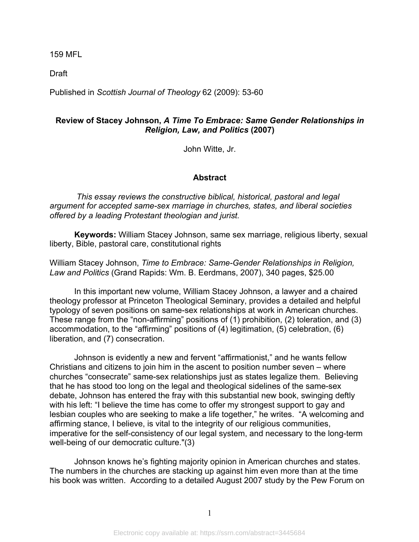159 MFL

Draft

Published in *Scottish Journal of Theology* 62 (2009): 53-60

## **Review of Stacey Johnson,** *A Time To Embrace: Same Gender Relationships in Religion, Law, and Politics* **(2007)**

John Witte, Jr.

## **Abstract**

*This essay reviews the constructive biblical, historical, pastoral and legal argument for accepted same-sex marriage in churches, states, and liberal societies offered by a leading Protestant theologian and jurist.* 

**Keywords:** William Stacey Johnson, same sex marriage, religious liberty, sexual liberty, Bible, pastoral care, constitutional rights

William Stacey Johnson, *Time to Embrace: Same-Gender Relationships in Religion, Law and Politics* (Grand Rapids: Wm. B. Eerdmans, 2007), 340 pages, \$25.00

In this important new volume, William Stacey Johnson, a lawyer and a chaired theology professor at Princeton Theological Seminary, provides a detailed and helpful typology of seven positions on same-sex relationships at work in American churches. These range from the "non-affirming" positions of (1) prohibition, (2) toleration, and (3) accommodation, to the "affirming" positions of (4) legitimation, (5) celebration, (6) liberation, and (7) consecration.

Johnson is evidently a new and fervent "affirmationist," and he wants fellow Christians and citizens to join him in the ascent to position number seven – where churches "consecrate" same-sex relationships just as states legalize them. Believing that he has stood too long on the legal and theological sidelines of the same-sex debate, Johnson has entered the fray with this substantial new book, swinging deftly with his left: "I believe the time has come to offer my strongest support to gay and lesbian couples who are seeking to make a life together," he writes. "A welcoming and affirming stance, I believe, is vital to the integrity of our religious communities, imperative for the self-consistency of our legal system, and necessary to the long-term well-being of our democratic culture."(3)

Johnson knows he's fighting majority opinion in American churches and states. The numbers in the churches are stacking up against him even more than at the time his book was written. According to a detailed August 2007 study by the Pew Forum on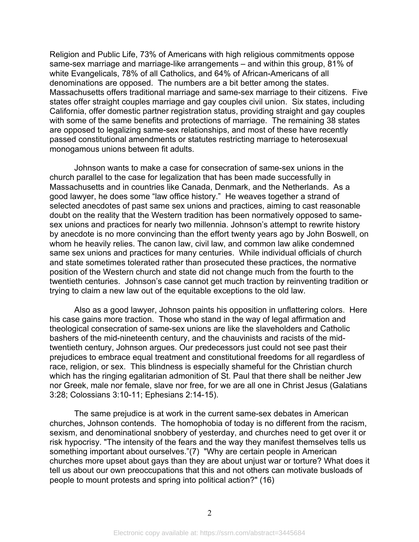Religion and Public Life, 73% of Americans with high religious commitments oppose same-sex marriage and marriage-like arrangements – and within this group, 81% of white Evangelicals, 78% of all Catholics, and 64% of African-Americans of all denominations are opposed. The numbers are a bit better among the states. Massachusetts offers traditional marriage and same-sex marriage to their citizens. Five states offer straight couples marriage and gay couples civil union. Six states, including California, offer domestic partner registration status, providing straight and gay couples with some of the same benefits and protections of marriage. The remaining 38 states are opposed to legalizing same-sex relationships, and most of these have recently passed constitutional amendments or statutes restricting marriage to heterosexual monogamous unions between fit adults.

Johnson wants to make a case for consecration of same-sex unions in the church parallel to the case for legalization that has been made successfully in Massachusetts and in countries like Canada, Denmark, and the Netherlands. As a good lawyer, he does some "law office history." He weaves together a strand of selected anecdotes of past same sex unions and practices, aiming to cast reasonable doubt on the reality that the Western tradition has been normatively opposed to samesex unions and practices for nearly two millennia. Johnson's attempt to rewrite history by anecdote is no more convincing than the effort twenty years ago by John Boswell, on whom he heavily relies. The canon law, civil law, and common law alike condemned same sex unions and practices for many centuries. While individual officials of church and state sometimes tolerated rather than prosecuted these practices, the normative position of the Western church and state did not change much from the fourth to the twentieth centuries. Johnson's case cannot get much traction by reinventing tradition or trying to claim a new law out of the equitable exceptions to the old law.

Also as a good lawyer, Johnson paints his opposition in unflattering colors. Here his case gains more traction. Those who stand in the way of legal affirmation and theological consecration of same-sex unions are like the slaveholders and Catholic bashers of the mid-nineteenth century, and the chauvinists and racists of the midtwentieth century, Johnson argues. Our predecessors just could not see past their prejudices to embrace equal treatment and constitutional freedoms for all regardless of race, religion, or sex. This blindness is especially shameful for the Christian church which has the ringing egalitarian admonition of St. Paul that there shall be neither Jew nor Greek, male nor female, slave nor free, for we are all one in Christ Jesus (Galatians 3:28; Colossians 3:10-11; Ephesians 2:14-15).

The same prejudice is at work in the current same-sex debates in American churches, Johnson contends. The homophobia of today is no different from the racism, sexism, and denominational snobbery of yesterday, and churches need to get over it or risk hypocrisy. "The intensity of the fears and the way they manifest themselves tells us something important about ourselves."(7) "Why are certain people in American churches more upset about gays than they are about unjust war or torture? What does it tell us about our own preoccupations that this and not others can motivate busloads of people to mount protests and spring into political action?" (16)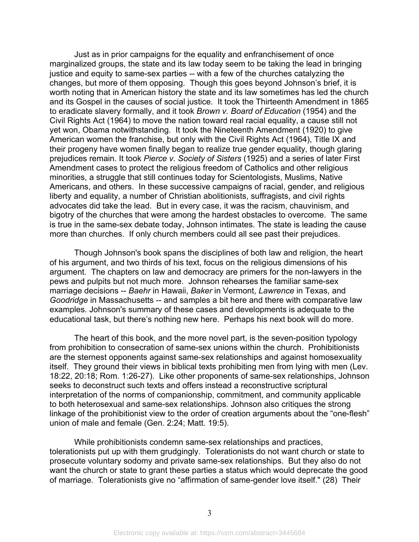Just as in prior campaigns for the equality and enfranchisement of once marginalized groups, the state and its law today seem to be taking the lead in bringing justice and equity to same-sex parties -- with a few of the churches catalyzing the changes, but more of them opposing. Though this goes beyond Johnson's brief, it is worth noting that in American history the state and its law sometimes has led the church and its Gospel in the causes of social justice. It took the Thirteenth Amendment in 1865 to eradicate slavery formally, and it took *Brown v. Board of Education* (1954) and the Civil Rights Act (1964) to move the nation toward real racial equality, a cause still not yet won, Obama notwithstanding. It took the Nineteenth Amendment (1920) to give American women the franchise, but only with the Civil Rights Act (1964), Title IX and their progeny have women finally began to realize true gender equality, though glaring prejudices remain. It took *Pierce v. Society of Sisters* (1925) and a series of later First Amendment cases to protect the religious freedom of Catholics and other religious minorities, a struggle that still continues today for Scientologists, Muslims, Native Americans, and others. In these successive campaigns of racial, gender, and religious liberty and equality, a number of Christian abolitionists, suffragists, and civil rights advocates did take the lead. But in every case, it was the racism, chauvinism, and bigotry of the churches that were among the hardest obstacles to overcome. The same is true in the same-sex debate today, Johnson intimates. The state is leading the cause more than churches. If only church members could all see past their prejudices.

Though Johnson's book spans the disciplines of both law and religion, the heart of his argument, and two thirds of his text, focus on the religious dimensions of his argument. The chapters on law and democracy are primers for the non-lawyers in the pews and pulpits but not much more. Johnson rehearses the familiar same-sex marriage decisions -- *Baehr* in Hawaii, *Baker* in Vermont, *Lawrence* in Texas, and *Goodridge* in Massachusetts -- and samples a bit here and there with comparative law examples. Johnson's summary of these cases and developments is adequate to the educational task, but there's nothing new here. Perhaps his next book will do more.

The heart of this book, and the more novel part, is the seven-position typology from prohibition to consecration of same-sex unions within the church. Prohibitionists are the sternest opponents against same-sex relationships and against homosexuality itself. They ground their views in biblical texts prohibiting men from lying with men (Lev. 18:22, 20:18; Rom. 1:26-27). Like other proponents of same-sex relationships, Johnson seeks to deconstruct such texts and offers instead a reconstructive scriptural interpretation of the norms of companionship, commitment, and community applicable to both heterosexual and same-sex relationships. Johnson also critiques the strong linkage of the prohibitionist view to the order of creation arguments about the "one-flesh" union of male and female (Gen. 2:24; Matt. 19:5).

While prohibitionists condemn same-sex relationships and practices, tolerationists put up with them grudgingly. Tolerationists do not want church or state to prosecute voluntary sodomy and private same-sex relationships. But they also do not want the church or state to grant these parties a status which would deprecate the good of marriage. Tolerationists give no "affirmation of same-gender love itself." (28) Their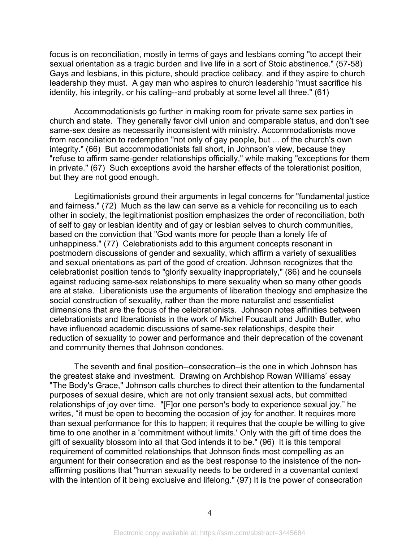focus is on reconciliation, mostly in terms of gays and lesbians coming "to accept their sexual orientation as a tragic burden and live life in a sort of Stoic abstinence." (57-58) Gays and lesbians, in this picture, should practice celibacy, and if they aspire to church leadership they must. A gay man who aspires to church leadership "must sacrifice his identity, his integrity, or his calling--and probably at some level all three." (61)

Accommodationists go further in making room for private same sex parties in church and state. They generally favor civil union and comparable status, and don't see same-sex desire as necessarily inconsistent with ministry. Accommodationists move from reconciliation to redemption "not only of gay people, but ... of the church's own integrity." (66) But accommodationists fall short, in Johnson's view, because they "refuse to affirm same-gender relationships officially," while making "exceptions for them in private." (67) Such exceptions avoid the harsher effects of the tolerationist position, but they are not good enough.

Legitimationists ground their arguments in legal concerns for "fundamental justice and fairness." (72) Much as the law can serve as a vehicle for reconciling us to each other in society, the legitimationist position emphasizes the order of reconciliation, both of self to gay or lesbian identity and of gay or lesbian selves to church communities, based on the conviction that "God wants more for people than a lonely life of unhappiness." (77) Celebrationists add to this argument concepts resonant in postmodern discussions of gender and sexuality, which affirm a variety of sexualities and sexual orientations as part of the good of creation. Johnson recognizes that the celebrationist position tends to "glorify sexuality inappropriately," (86) and he counsels against reducing same-sex relationships to mere sexuality when so many other goods are at stake. Liberationists use the arguments of liberation theology and emphasize the social construction of sexuality, rather than the more naturalist and essentialist dimensions that are the focus of the celebrationists. Johnson notes affinities between celebrationists and liberationists in the work of Michel Foucault and Judith Butler, who have influenced academic discussions of same-sex relationships, despite their reduction of sexuality to power and performance and their deprecation of the covenant and community themes that Johnson condones.

The seventh and final position--consecration--is the one in which Johnson has the greatest stake and investment. Drawing on Archbishop Rowan Williams' essay "The Body's Grace," Johnson calls churches to direct their attention to the fundamental purposes of sexual desire, which are not only transient sexual acts, but committed relationships of joy over time. "[F]or one person's body to experience sexual joy," he writes, "it must be open to becoming the occasion of joy for another. It requires more than sexual performance for this to happen; it requires that the couple be willing to give time to one another in a 'commitment without limits.' Only with the gift of time does the gift of sexuality blossom into all that God intends it to be." (96) It is this temporal requirement of committed relationships that Johnson finds most compelling as an argument for their consecration and as the best response to the insistence of the nonaffirming positions that "human sexuality needs to be ordered in a covenantal context with the intention of it being exclusive and lifelong." (97) It is the power of consecration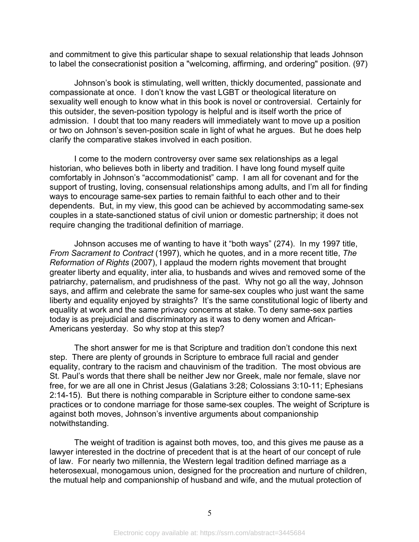and commitment to give this particular shape to sexual relationship that leads Johnson to label the consecrationist position a "welcoming, affirming, and ordering" position. (97)

Johnson's book is stimulating, well written, thickly documented, passionate and compassionate at once. I don't know the vast LGBT or theological literature on sexuality well enough to know what in this book is novel or controversial. Certainly for this outsider, the seven-position typology is helpful and is itself worth the price of admission. I doubt that too many readers will immediately want to move up a position or two on Johnson's seven-position scale in light of what he argues. But he does help clarify the comparative stakes involved in each position.

I come to the modern controversy over same sex relationships as a legal historian, who believes both in liberty and tradition. I have long found myself quite comfortably in Johnson's "accommodationist" camp. I am all for covenant and for the support of trusting, loving, consensual relationships among adults, and I'm all for finding ways to encourage same-sex parties to remain faithful to each other and to their dependents. But, in my view, this good can be achieved by accommodating same-sex couples in a state-sanctioned status of civil union or domestic partnership; it does not require changing the traditional definition of marriage.

Johnson accuses me of wanting to have it "both ways" (274). In my 1997 title, *From Sacrament to Contract* (1997), which he quotes, and in a more recent title, *The Reformation of Rights* (2007), I applaud the modern rights movement that brought greater liberty and equality, inter alia, to husbands and wives and removed some of the patriarchy, paternalism, and prudishness of the past. Why not go all the way, Johnson says, and affirm and celebrate the same for same-sex couples who just want the same liberty and equality enjoyed by straights? It's the same constitutional logic of liberty and equality at work and the same privacy concerns at stake. To deny same-sex parties today is as prejudicial and discriminatory as it was to deny women and African-Americans yesterday. So why stop at this step?

The short answer for me is that Scripture and tradition don't condone this next step. There are plenty of grounds in Scripture to embrace full racial and gender equality, contrary to the racism and chauvinism of the tradition. The most obvious are St. Paul's words that there shall be neither Jew nor Greek, male nor female, slave nor free, for we are all one in Christ Jesus (Galatians 3:28; Colossians 3:10-11; Ephesians 2:14-15). But there is nothing comparable in Scripture either to condone same-sex practices or to condone marriage for those same-sex couples. The weight of Scripture is against both moves, Johnson's inventive arguments about companionship notwithstanding.

The weight of tradition is against both moves, too, and this gives me pause as a lawyer interested in the doctrine of precedent that is at the heart of our concept of rule of law. For nearly two millennia, the Western legal tradition defined marriage as a heterosexual, monogamous union, designed for the procreation and nurture of children, the mutual help and companionship of husband and wife, and the mutual protection of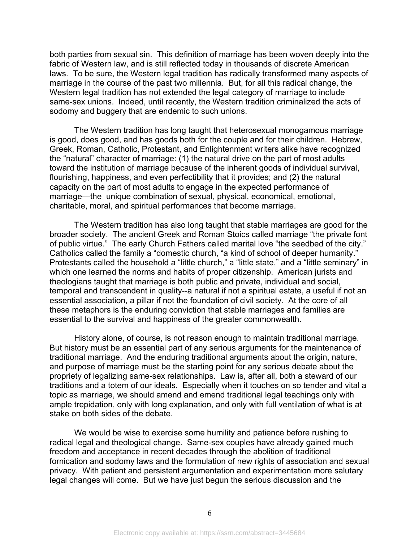both parties from sexual sin. This definition of marriage has been woven deeply into the fabric of Western law, and is still reflected today in thousands of discrete American laws. To be sure, the Western legal tradition has radically transformed many aspects of marriage in the course of the past two millennia. But, for all this radical change, the Western legal tradition has not extended the legal category of marriage to include same-sex unions. Indeed, until recently, the Western tradition criminalized the acts of sodomy and buggery that are endemic to such unions.

The Western tradition has long taught that heterosexual monogamous marriage is good, does good, and has goods both for the couple and for their children. Hebrew, Greek, Roman, Catholic, Protestant, and Enlightenment writers alike have recognized the "natural" character of marriage: (1) the natural drive on the part of most adults toward the institution of marriage because of the inherent goods of individual survival, flourishing, happiness, and even perfectibility that it provides; and (2) the natural capacity on the part of most adults to engage in the expected performance of marriage—the unique combination of sexual, physical, economical, emotional, charitable, moral, and spiritual performances that become marriage.

The Western tradition has also long taught that stable marriages are good for the broader society. The ancient Greek and Roman Stoics called marriage "the private font of public virtue." The early Church Fathers called marital love "the seedbed of the city." Catholics called the family a "domestic church, "a kind of school of deeper humanity." Protestants called the household a "little church," a "little state," and a "little seminary" in which one learned the norms and habits of proper citizenship. American jurists and theologians taught that marriage is both public and private, individual and social, temporal and transcendent in quality--a natural if not a spiritual estate, a useful if not an essential association, a pillar if not the foundation of civil society. At the core of all these metaphors is the enduring conviction that stable marriages and families are essential to the survival and happiness of the greater commonwealth.

History alone, of course, is not reason enough to maintain traditional marriage. But history must be an essential part of any serious arguments for the maintenance of traditional marriage. And the enduring traditional arguments about the origin, nature, and purpose of marriage must be the starting point for any serious debate about the propriety of legalizing same-sex relationships. Law is, after all, both a steward of our traditions and a totem of our ideals. Especially when it touches on so tender and vital a topic as marriage, we should amend and emend traditional legal teachings only with ample trepidation, only with long explanation, and only with full ventilation of what is at stake on both sides of the debate.

We would be wise to exercise some humility and patience before rushing to radical legal and theological change. Same-sex couples have already gained much freedom and acceptance in recent decades through the abolition of traditional fornication and sodomy laws and the formulation of new rights of association and sexual privacy. With patient and persistent argumentation and experimentation more salutary legal changes will come. But we have just begun the serious discussion and the